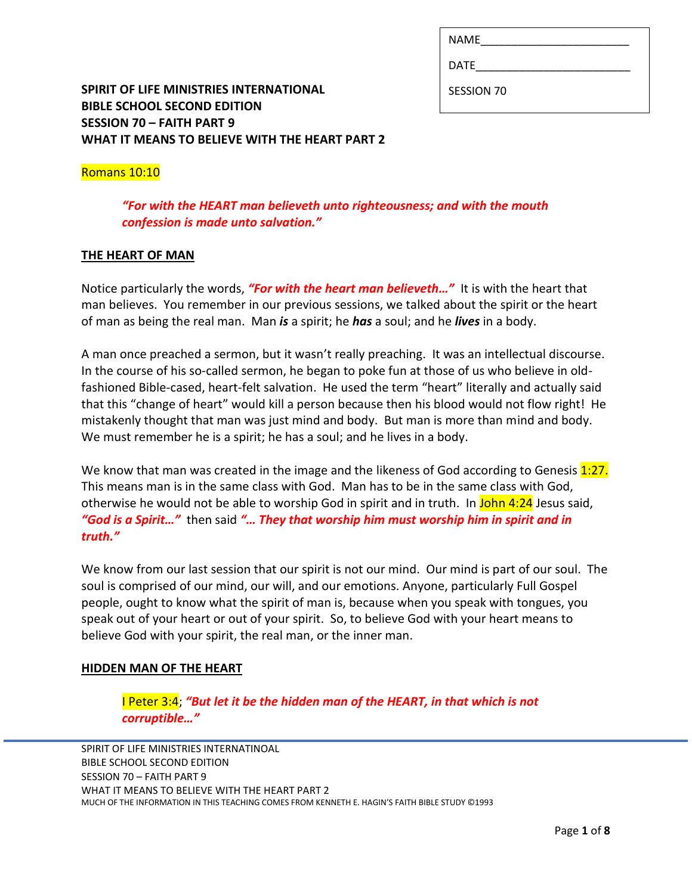| <b>NAME</b> |  |  |  |  |
|-------------|--|--|--|--|
|             |  |  |  |  |

DATE\_\_\_\_\_\_\_\_\_\_\_\_\_\_\_\_\_\_\_\_\_\_\_\_\_

SESSION 70

# **SPIRIT OF LIFE MINISTRIES INTERNATIONAL BIBLE SCHOOL SECOND EDITION SESSION 70 – FAITH PART 9 WHAT IT MEANS TO BELIEVE WITH THE HEART PART 2**

# Romans 10:10

*"For with the HEART man believeth unto righteousness; and with the mouth confession is made unto salvation."*

## **THE HEART OF MAN**

Notice particularly the words, *"For with the heart man believeth…"* It is with the heart that man believes. You remember in our previous sessions, we talked about the spirit or the heart of man as being the real man. Man *is* a spirit; he *has* a soul; and he *lives* in a body.

A man once preached a sermon, but it wasn't really preaching. It was an intellectual discourse. In the course of his so-called sermon, he began to poke fun at those of us who believe in oldfashioned Bible-cased, heart-felt salvation. He used the term "heart" literally and actually said that this "change of heart" would kill a person because then his blood would not flow right! He mistakenly thought that man was just mind and body. But man is more than mind and body. We must remember he is a spirit; he has a soul; and he lives in a body.

We know that man was created in the image and the likeness of God according to Genesis 1:27. This means man is in the same class with God. Man has to be in the same class with God, otherwise he would not be able to worship God in spirit and in truth. In John 4:24 Jesus said, *"God is a Spirit…"* then said *"… They that worship him must worship him in spirit and in truth."*

We know from our last session that our spirit is not our mind. Our mind is part of our soul. The soul is comprised of our mind, our will, and our emotions. Anyone, particularly Full Gospel people, ought to know what the spirit of man is, because when you speak with tongues, you speak out of your heart or out of your spirit. So, to believe God with your heart means to believe God with your spirit, the real man, or the inner man.

# **HIDDEN MAN OF THE HEART**

I Peter 3:4; *"But let it be the hidden man of the HEART, in that which is not corruptible…"*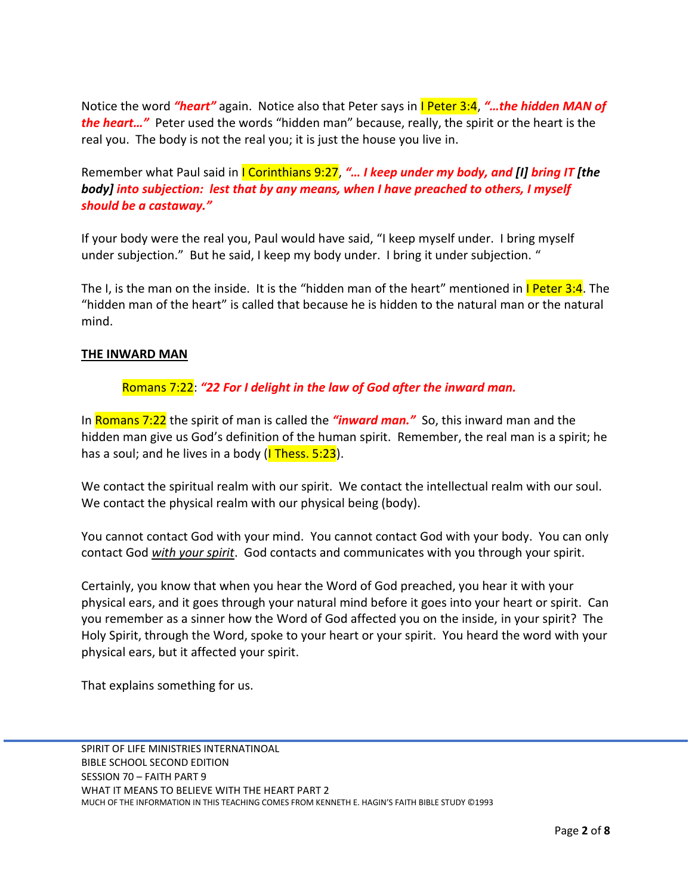Notice the word *"heart"* again. Notice also that Peter says in I Peter 3:4, *"…the hidden MAN of the heart…"* Peter used the words "hidden man" because, really, the spirit or the heart is the real you. The body is not the real you; it is just the house you live in.

Remember what Paul said in *I Corinthians 9:27, "... I keep under my body, and [I] bring IT [the body] into subjection: lest that by any means, when I have preached to others, I myself should be a castaway."*

If your body were the real you, Paul would have said, "I keep myself under. I bring myself under subjection." But he said, I keep my body under. I bring it under subjection. "

The I, is the man on the inside. It is the "hidden man of the heart" mentioned in I Peter 3:4. The "hidden man of the heart" is called that because he is hidden to the natural man or the natural mind.

### **THE INWARD MAN**

## Romans 7:22: *"22 For I delight in the law of God after the inward man.*

In Romans 7:22 the spirit of man is called the *"inward man."* So, this inward man and the hidden man give us God's definition of the human spirit. Remember, the real man is a spirit; he has a soul; and he lives in a body  $(I$  Thess. 5:23).

We contact the spiritual realm with our spirit. We contact the intellectual realm with our soul. We contact the physical realm with our physical being (body).

You cannot contact God with your mind. You cannot contact God with your body. You can only contact God *with your spirit*. God contacts and communicates with you through your spirit.

Certainly, you know that when you hear the Word of God preached, you hear it with your physical ears, and it goes through your natural mind before it goes into your heart or spirit. Can you remember as a sinner how the Word of God affected you on the inside, in your spirit? The Holy Spirit, through the Word, spoke to your heart or your spirit. You heard the word with your physical ears, but it affected your spirit.

That explains something for us.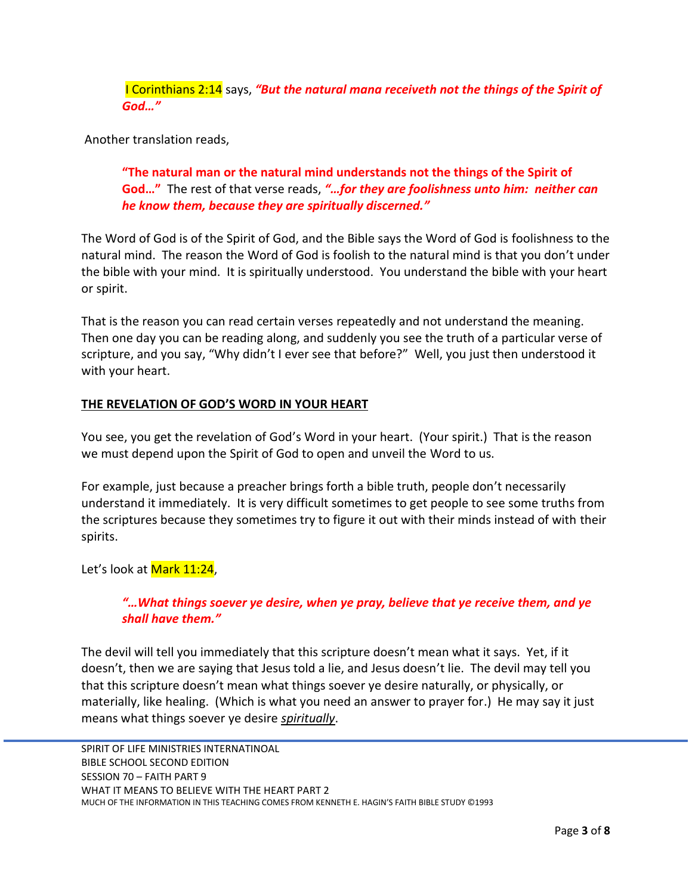I Corinthians 2:14 says, *"But the natural mana receiveth not the things of the Spirit of God…"*

Another translation reads,

**"The natural man or the natural mind understands not the things of the Spirit of God…"** The rest of that verse reads, *"…for they are foolishness unto him: neither can he know them, because they are spiritually discerned."*

The Word of God is of the Spirit of God, and the Bible says the Word of God is foolishness to the natural mind. The reason the Word of God is foolish to the natural mind is that you don't under the bible with your mind. It is spiritually understood. You understand the bible with your heart or spirit.

That is the reason you can read certain verses repeatedly and not understand the meaning. Then one day you can be reading along, and suddenly you see the truth of a particular verse of scripture, and you say, "Why didn't I ever see that before?" Well, you just then understood it with your heart.

## **THE REVELATION OF GOD'S WORD IN YOUR HEART**

You see, you get the revelation of God's Word in your heart. (Your spirit.) That is the reason we must depend upon the Spirit of God to open and unveil the Word to us.

For example, just because a preacher brings forth a bible truth, people don't necessarily understand it immediately. It is very difficult sometimes to get people to see some truths from the scriptures because they sometimes try to figure it out with their minds instead of with their spirits.

Let's look at Mark 11:24,

## *"…What things soever ye desire, when ye pray, believe that ye receive them, and ye shall have them."*

The devil will tell you immediately that this scripture doesn't mean what it says. Yet, if it doesn't, then we are saying that Jesus told a lie, and Jesus doesn't lie. The devil may tell you that this scripture doesn't mean what things soever ye desire naturally, or physically, or materially, like healing. (Which is what you need an answer to prayer for.) He may say it just means what things soever ye desire *spiritually*.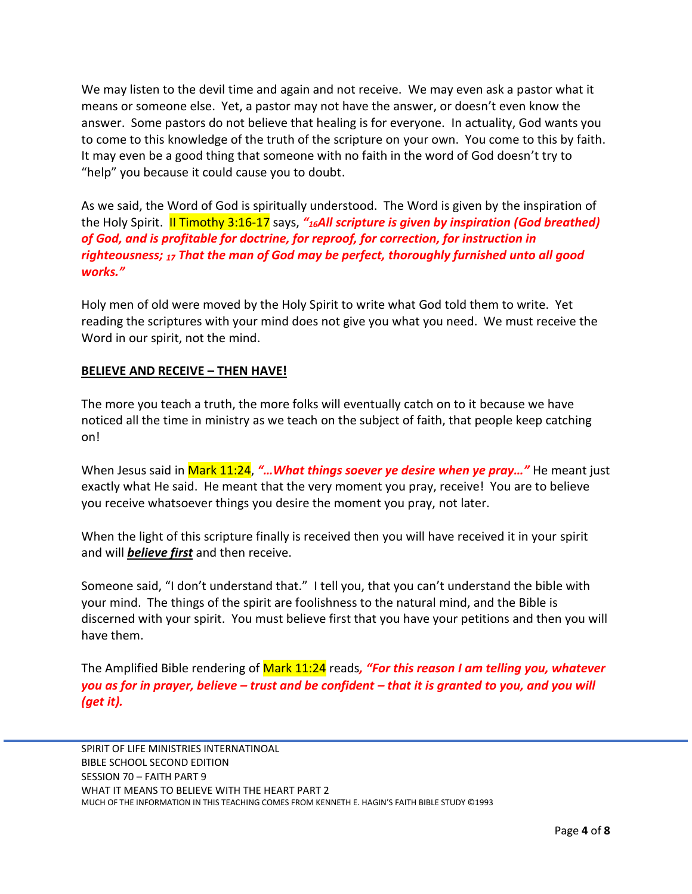We may listen to the devil time and again and not receive. We may even ask a pastor what it means or someone else. Yet, a pastor may not have the answer, or doesn't even know the answer. Some pastors do not believe that healing is for everyone. In actuality, God wants you to come to this knowledge of the truth of the scripture on your own. You come to this by faith. It may even be a good thing that someone with no faith in the word of God doesn't try to "help" you because it could cause you to doubt.

As we said, the Word of God is spiritually understood. The Word is given by the inspiration of the Holy Spirit. II Timothy 3:16-17 says, *"16All scripture is given by inspiration (God breathed) of God, and is profitable for doctrine, for reproof, for correction, for instruction in righteousness; <sup>17</sup> That the man of God may be perfect, thoroughly furnished unto all good works."*

Holy men of old were moved by the Holy Spirit to write what God told them to write. Yet reading the scriptures with your mind does not give you what you need. We must receive the Word in our spirit, not the mind.

### **BELIEVE AND RECEIVE – THEN HAVE!**

The more you teach a truth, the more folks will eventually catch on to it because we have noticed all the time in ministry as we teach on the subject of faith, that people keep catching on!

When Jesus said in Mark 11:24, *"…What things soever ye desire when ye pray…"* He meant just exactly what He said. He meant that the very moment you pray, receive! You are to believe you receive whatsoever things you desire the moment you pray, not later.

When the light of this scripture finally is received then you will have received it in your spirit and will *believe first* and then receive.

Someone said, "I don't understand that." I tell you, that you can't understand the bible with your mind. The things of the spirit are foolishness to the natural mind, and the Bible is discerned with your spirit. You must believe first that you have your petitions and then you will have them.

The Amplified Bible rendering of Mark 11:24 reads*, "For this reason I am telling you, whatever you as for in prayer, believe – trust and be confident – that it is granted to you, and you will (get it).*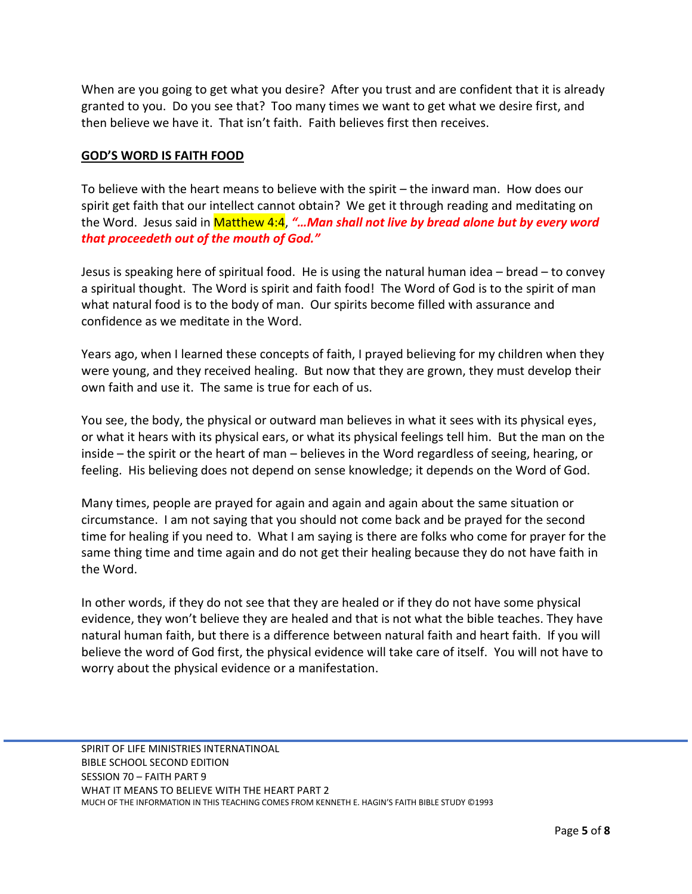When are you going to get what you desire? After you trust and are confident that it is already granted to you. Do you see that? Too many times we want to get what we desire first, and then believe we have it. That isn't faith. Faith believes first then receives.

### **GOD'S WORD IS FAITH FOOD**

To believe with the heart means to believe with the spirit – the inward man. How does our spirit get faith that our intellect cannot obtain? We get it through reading and meditating on the Word. Jesus said in Matthew 4:4, *"…Man shall not live by bread alone but by every word that proceedeth out of the mouth of God."*

Jesus is speaking here of spiritual food. He is using the natural human idea – bread – to convey a spiritual thought. The Word is spirit and faith food! The Word of God is to the spirit of man what natural food is to the body of man. Our spirits become filled with assurance and confidence as we meditate in the Word.

Years ago, when I learned these concepts of faith, I prayed believing for my children when they were young, and they received healing. But now that they are grown, they must develop their own faith and use it. The same is true for each of us.

You see, the body, the physical or outward man believes in what it sees with its physical eyes, or what it hears with its physical ears, or what its physical feelings tell him. But the man on the inside – the spirit or the heart of man – believes in the Word regardless of seeing, hearing, or feeling. His believing does not depend on sense knowledge; it depends on the Word of God.

Many times, people are prayed for again and again and again about the same situation or circumstance. I am not saying that you should not come back and be prayed for the second time for healing if you need to. What I am saying is there are folks who come for prayer for the same thing time and time again and do not get their healing because they do not have faith in the Word.

In other words, if they do not see that they are healed or if they do not have some physical evidence, they won't believe they are healed and that is not what the bible teaches. They have natural human faith, but there is a difference between natural faith and heart faith. If you will believe the word of God first, the physical evidence will take care of itself. You will not have to worry about the physical evidence or a manifestation.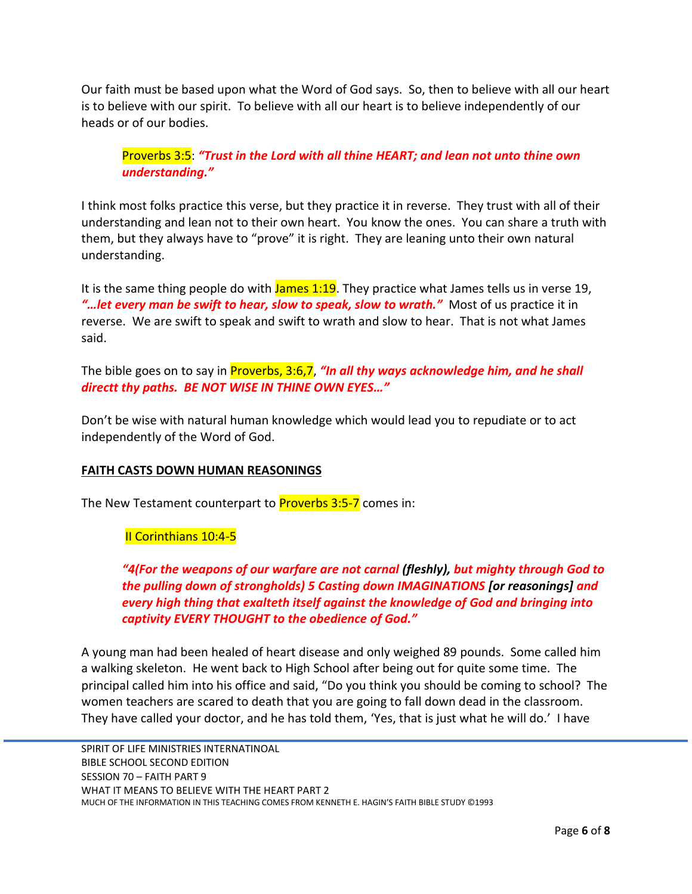Our faith must be based upon what the Word of God says. So, then to believe with all our heart is to believe with our spirit. To believe with all our heart is to believe independently of our heads or of our bodies.

Proverbs 3:5: *"Trust in the Lord with all thine HEART; and lean not unto thine own understanding."*

I think most folks practice this verse, but they practice it in reverse. They trust with all of their understanding and lean not to their own heart. You know the ones. You can share a truth with them, but they always have to "prove" it is right. They are leaning unto their own natural understanding.

It is the same thing people do with  $James 1:19$ . They practice what James tells us in verse 19, *"…let every man be swift to hear, slow to speak, slow to wrath."* Most of us practice it in reverse. We are swift to speak and swift to wrath and slow to hear. That is not what James said.

The bible goes on to say in Proverbs, 3:6,7, *"In all thy ways acknowledge him, and he shall directt thy paths. BE NOT WISE IN THINE OWN EYES…"*

Don't be wise with natural human knowledge which would lead you to repudiate or to act independently of the Word of God.

## **FAITH CASTS DOWN HUMAN REASONINGS**

The New Testament counterpart to **Proverbs 3:5-7** comes in:

# II Corinthians 10:4-5

*"4(For the weapons of our warfare are not carnal (fleshly), but mighty through God to the pulling down of strongholds) 5 Casting down IMAGINATIONS [or reasonings] and every high thing that exalteth itself against the knowledge of God and bringing into captivity EVERY THOUGHT to the obedience of God."*

A young man had been healed of heart disease and only weighed 89 pounds. Some called him a walking skeleton. He went back to High School after being out for quite some time. The principal called him into his office and said, "Do you think you should be coming to school? The women teachers are scared to death that you are going to fall down dead in the classroom. They have called your doctor, and he has told them, 'Yes, that is just what he will do.' I have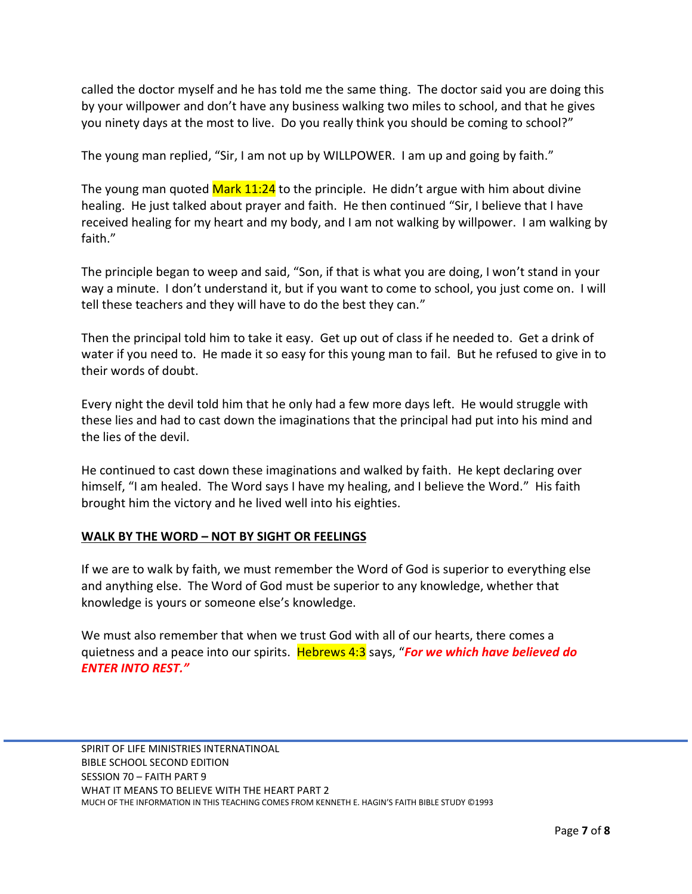called the doctor myself and he has told me the same thing. The doctor said you are doing this by your willpower and don't have any business walking two miles to school, and that he gives you ninety days at the most to live. Do you really think you should be coming to school?"

The young man replied, "Sir, I am not up by WILLPOWER. I am up and going by faith."

The young man quoted  $Mark\ 11:24$  to the principle. He didn't argue with him about divine healing. He just talked about prayer and faith. He then continued "Sir, I believe that I have received healing for my heart and my body, and I am not walking by willpower. I am walking by faith."

The principle began to weep and said, "Son, if that is what you are doing, I won't stand in your way a minute. I don't understand it, but if you want to come to school, you just come on. I will tell these teachers and they will have to do the best they can."

Then the principal told him to take it easy. Get up out of class if he needed to. Get a drink of water if you need to. He made it so easy for this young man to fail. But he refused to give in to their words of doubt.

Every night the devil told him that he only had a few more days left. He would struggle with these lies and had to cast down the imaginations that the principal had put into his mind and the lies of the devil.

He continued to cast down these imaginations and walked by faith. He kept declaring over himself, "I am healed. The Word says I have my healing, and I believe the Word." His faith brought him the victory and he lived well into his eighties.

## **WALK BY THE WORD – NOT BY SIGHT OR FEELINGS**

If we are to walk by faith, we must remember the Word of God is superior to everything else and anything else. The Word of God must be superior to any knowledge, whether that knowledge is yours or someone else's knowledge.

We must also remember that when we trust God with all of our hearts, there comes a quietness and a peace into our spirits. Hebrews 4:3 says, "*For we which have believed do ENTER INTO REST."*